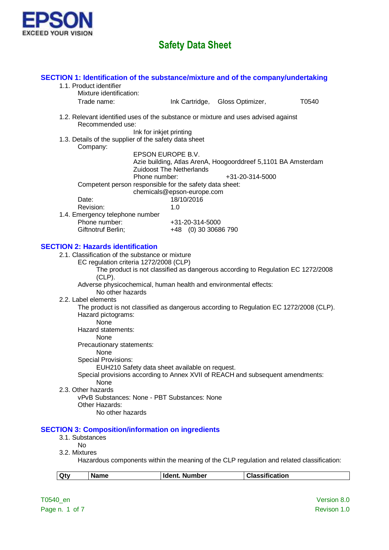

| Qty                          | <b>Name</b>                                                                               | <b>Ident. Number</b>                                                                      | <b>Classification</b> |       |
|------------------------------|-------------------------------------------------------------------------------------------|-------------------------------------------------------------------------------------------|-----------------------|-------|
|                              |                                                                                           | Hazardous components within the meaning of the CLP regulation and related classification. |                       |       |
| 3.2. Mixtures                |                                                                                           |                                                                                           |                       |       |
| 3.1. Substances<br><b>No</b> |                                                                                           |                                                                                           |                       |       |
|                              |                                                                                           | <b>SECTION 3: Composition/information on ingredients</b>                                  |                       |       |
|                              | Other Hazards:<br>No other hazards                                                        | vPvB Substances: None - PBT Substances: None                                              |                       |       |
| 2.3. Other hazards           |                                                                                           |                                                                                           |                       |       |
|                              | None                                                                                      | Special provisions according to Annex XVII of REACH and subsequent amendments:            |                       |       |
|                              |                                                                                           | EUH210 Safety data sheet available on request.                                            |                       |       |
|                              | None<br><b>Special Provisions:</b>                                                        |                                                                                           |                       |       |
|                              | Precautionary statements:                                                                 |                                                                                           |                       |       |
|                              | <b>None</b>                                                                               |                                                                                           |                       |       |
|                              | None<br>Hazard statements:                                                                |                                                                                           |                       |       |
|                              | Hazard pictograms:                                                                        |                                                                                           |                       |       |
| 2.2. Label elements          |                                                                                           | The product is not classified as dangerous according to Regulation EC 1272/2008 (CLP).    |                       |       |
|                              | No other hazards                                                                          | Adverse physicochemical, human health and environmental effects:                          |                       |       |
|                              | $(CLP)$ .                                                                                 |                                                                                           |                       |       |
|                              |                                                                                           | The product is not classified as dangerous according to Regulation EC 1272/2008           |                       |       |
|                              | 2.1. Classification of the substance or mixture<br>EC regulation criteria 1272/2008 (CLP) |                                                                                           |                       |       |
|                              | <b>SECTION 2: Hazards identification</b>                                                  |                                                                                           |                       |       |
|                              | Giftnotruf Berlin;                                                                        | +48 (0) 30 30686 790                                                                      |                       |       |
|                              | Phone number:                                                                             | +31-20-314-5000                                                                           |                       |       |
|                              | Revision:<br>1.4. Emergency telephone number                                              | 1.0                                                                                       |                       |       |
| Date:                        |                                                                                           | 18/10/2016                                                                                |                       |       |
|                              |                                                                                           | chemicals@epson-europe.com                                                                |                       |       |
|                              |                                                                                           | Phone number:<br>Competent person responsible for the safety data sheet:                  | +31-20-314-5000       |       |
|                              |                                                                                           | <b>Zuidoost The Netherlands</b>                                                           |                       |       |
|                              |                                                                                           | EPSON EUROPE B.V.<br>Azie building, Atlas ArenA, Hoogoorddreef 5,1101 BA Amsterdam        |                       |       |
|                              | Company:                                                                                  |                                                                                           |                       |       |
|                              |                                                                                           | Ink for inkjet printing<br>1.3. Details of the supplier of the safety data sheet          |                       |       |
|                              | Recommended use:                                                                          |                                                                                           |                       |       |
|                              |                                                                                           | 1.2. Relevant identified uses of the substance or mixture and uses advised against        |                       |       |
|                              | Trade name:                                                                               | Ink Cartridge, Gloss Optimizer,                                                           |                       | T0540 |
|                              | Mixture identification:                                                                   |                                                                                           |                       |       |
|                              | 1.1. Product identifier                                                                   | SECTION 1: Identification of the substance/mixture and of the company/undertaking         |                       |       |
|                              |                                                                                           |                                                                                           |                       |       |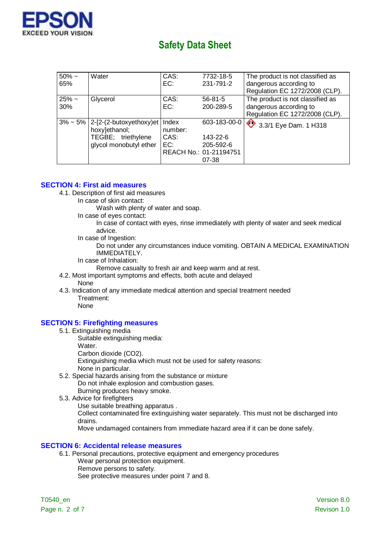

| $50\% \sim$<br>65% | Water                                       | CAS:<br>EC:      | 7732-18-5<br>231-791-2 | The product is not classified as<br>dangerous according to |
|--------------------|---------------------------------------------|------------------|------------------------|------------------------------------------------------------|
|                    |                                             |                  |                        | Regulation EC 1272/2008 (CLP).                             |
| $25%$ ~            | Glycerol                                    | CAS:             | $56 - 81 - 5$          | The product is not classified as                           |
| 30%                |                                             | EC:              | 200-289-5              | dangerous according to                                     |
|                    |                                             |                  |                        | Regulation EC 1272/2008 (CLP).                             |
| $3\% \sim 5\%$     | $2-[2-(2-butoxyethoxy)et]$<br>hoxy]ethanol; | Index<br>number: | 603-183-00-0           | 3.3/1 Eye Dam. 1 H318                                      |
|                    | TEGBE; triethylene                          | CAS:             | 143-22-6               |                                                            |
|                    | glycol monobutyl ether                      | EC:              | 205-592-6              |                                                            |
|                    |                                             |                  | REACH No.: 01-21194751 |                                                            |
|                    |                                             |                  | 07-38                  |                                                            |

# **SECTION 4: First aid measures**

- 4.1. Description of first aid measures
	- In case of skin contact:
		- Wash with plenty of water and soap.
	- In case of eyes contact:
		- In case of contact with eyes, rinse immediately with plenty of water and seek medical advice.
	- In case of Ingestion:

Do not under any circumstances induce vomiting. OBTAIN A MEDICAL EXAMINATION IMMEDIATELY.

In case of Inhalation:

Remove casualty to fresh air and keep warm and at rest.

- 4.2. Most important symptoms and effects, both acute and delayed None
- 4.3. Indication of any immediate medical attention and special treatment needed Treatment:

# None

## **SECTION 5: Firefighting measures**

- 5.1. Extinguishing media
	- Suitable extinguishing media:
	- Water.
	- Carbon dioxide (CO2).

Extinguishing media which must not be used for safety reasons:

- None in particular.
- 5.2. Special hazards arising from the substance or mixture Do not inhale explosion and combustion gases.
	- Burning produces heavy smoke.
- 5.3. Advice for firefighters
	- Use suitable breathing apparatus .

Collect contaminated fire extinguishing water separately. This must not be discharged into drains.

Move undamaged containers from immediate hazard area if it can be done safely.

## **SECTION 6: Accidental release measures**

- 6.1. Personal precautions, protective equipment and emergency procedures Wear personal protection equipment.
	- Remove persons to safety.

See protective measures under point 7 and 8.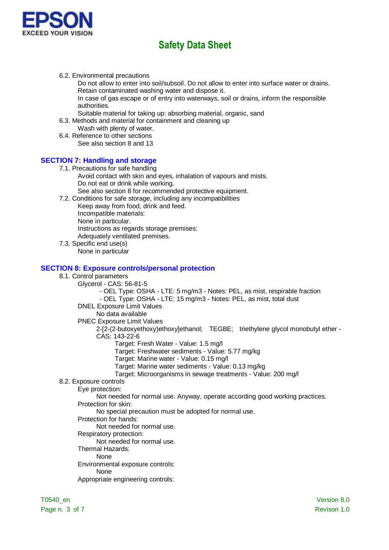

- 6.2. Environmental precautions
	- Do not allow to enter into soil/subsoil. Do not allow to enter into surface water or drains. Retain contaminated washing water and dispose it.

In case of gas escape or of entry into waterways, soil or drains, inform the responsible authorities.

- Suitable material for taking up: absorbing material, organic, sand
- 6.3. Methods and material for containment and cleaning up
- Wash with plenty of water. 6.4. Reference to other sections
- See also section 8 and 13

# **SECTION 7: Handling and storage**

- 7.1. Precautions for safe handling Avoid contact with skin and eyes, inhalation of vapours and mists. Do not eat or drink while working. See also section 8 for recommended protective equipment.
- 7.2. Conditions for safe storage, including any incompatibilities Keep away from food, drink and feed. Incompatible materials: None in particular.
	- Instructions as regards storage premises:
	- Adequately ventilated premises.
- 7.3. Specific end use(s) None in particular

## **SECTION 8: Exposure controls/personal protection**

- 8.1. Control parameters
	- Glycerol CAS: 56-81-5

- OEL Type: OSHA - LTE: 5 mg/m3 - Notes: PEL, as mist, respirable fraction - OEL Type: OSHA - LTE: 15 mg/m3 - Notes: PEL, as mist, total dust

- DNEL Exposure Limit Values
	- No data available
- PNEC Exposure Limit Values

2-[2-(2-butoxyethoxy)ethoxy]ethanol; TEGBE; triethylene glycol monobutyl ether - CAS: 143-22-6

- - Target: Fresh Water Value: 1.5 mg/l
	- Target: Freshwater sediments Value: 5.77 mg/kg
	- Target: Marine water Value: 0.15 mg/l
	- Target: Marine water sediments Value: 0.13 mg/kg
	- Target: Microorganisms in sewage treatments Value: 200 mg/l
- 8.2. Exposure controls
	- Eye protection:

Not needed for normal use. Anyway, operate according good working practices. Protection for skin:

No special precaution must be adopted for normal use.

- Protection for hands:
	- Not needed for normal use.
- Respiratory protection:
	- Not needed for normal use.
- Thermal Hazards:
- None Environmental exposure controls:
	- None
- Appropriate engineering controls: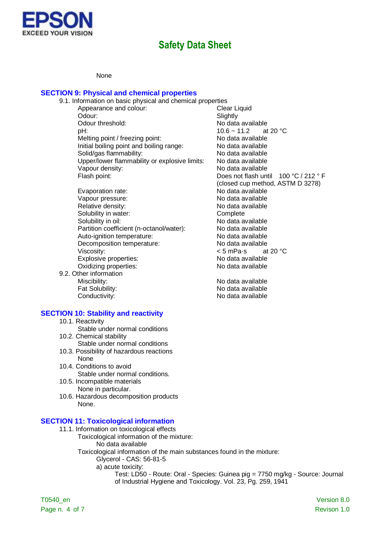

#### None

# **SECTION 9: Physical and chemical properties**

| 9.1. Information on basic physical and chemical properties |                                        |
|------------------------------------------------------------|----------------------------------------|
| Appearance and colour:                                     | Clear Liquid                           |
| Odour:                                                     | Slightly                               |
| Odour threshold:                                           | No data available                      |
| pH:                                                        | 10.6 ~ 11.2 at 20 °C                   |
| Melting point / freezing point:                            | No data available                      |
| Initial boiling point and boiling range:                   | No data available                      |
| Solid/gas flammability:                                    | No data available                      |
| Upper/lower flammability or explosive limits:              | No data available                      |
| Vapour density:                                            | No data available                      |
| Flash point:                                               | Does not flash until $100 °C / 212 °F$ |
|                                                            | (closed cup method, ASTM D 3278)       |
| Evaporation rate:                                          | No data available                      |
| Vapour pressure:                                           | No data available                      |
| Relative density:                                          | No data available                      |
| Solubility in water:                                       | Complete                               |
| Solubility in oil:                                         | No data available                      |
| Partition coefficient (n-octanol/water):                   | No data available                      |
| Auto-ignition temperature:                                 | No data available                      |
| Decomposition temperature:                                 | No data available                      |
| Viscosity:                                                 | < 5 mPa⋅s at 20 °C                     |
|                                                            | ماطمانویہ و میوہ مل                    |

Explosive properties: No data available Oxidizing properties: No data available

9.2. Other information Miscibility: No data available Fat Solubility:<br>
Conductivity:<br>
Conductivity:<br>
No data available

#### **SECTION 10: Stability and reactivity**

- 10.1. Reactivity
- Stable under normal conditions
- 10.2. Chemical stability Stable under normal conditions
- 10.3. Possibility of hazardous reactions None
- 10.4. Conditions to avoid Stable under normal conditions.
- 10.5. Incompatible materials None in particular.
- 10.6. Hazardous decomposition products None.

# **SECTION 11: Toxicological information**

- 11.1. Information on toxicological effects
	- Toxicological information of the mixture: No data available
	- Toxicological information of the main substances found in the mixture: Glycerol - CAS: 56-81-5
		- a) acute toxicity:
			- Test: LD50 Route: Oral Species: Guinea pig = 7750 mg/kg Source: Journal of Industrial Hygiene and Toxicology. Vol. 23, Pg. 259, 1941

No data available

T0540\_en Version 8.0 Page n. 4 of 7 Revison 1.0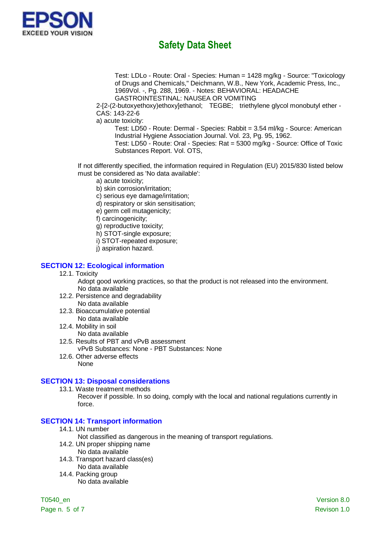

Test: LDLo - Route: Oral - Species: Human = 1428 mg/kg - Source: "Toxicology of Drugs and Chemicals," Deichmann, W.B., New York, Academic Press, Inc., 1969Vol. -, Pg. 288, 1969. - Notes: BEHAVIORAL: HEADACHE GASTROINTESTINAL: NAUSEA OR VOMITING

2-[2-(2-butoxyethoxy)ethoxy]ethanol; TEGBE; triethylene glycol monobutyl ether - CAS: 143-22-6

a) acute toxicity:

Test: LD50 - Route: Dermal - Species: Rabbit = 3.54 ml/kg - Source: American Industrial Hygiene Association Journal. Vol. 23, Pg. 95, 1962.

Test: LD50 - Route: Oral - Species: Rat = 5300 mg/kg - Source: Office of Toxic Substances Report. Vol. OTS,

If not differently specified, the information required in Regulation (EU) 2015/830 listed below must be considered as 'No data available':

- a) acute toxicity;
- b) skin corrosion/irritation;
- c) serious eye damage/irritation;
- d) respiratory or skin sensitisation;
- e) germ cell mutagenicity;
- f) carcinogenicity;
- g) reproductive toxicity;
- h) STOT-single exposure;
- i) STOT-repeated exposure;
- j) aspiration hazard.

# **SECTION 12: Ecological information**

12.1. Toxicity

Adopt good working practices, so that the product is not released into the environment. No data available

- 12.2. Persistence and degradability
- No data available
- 12.3. Bioaccumulative potential No data available
- 12.4. Mobility in soil No data available
- 12.5. Results of PBT and vPvB assessment
	- vPvB Substances: None PBT Substances: None
- 12.6. Other adverse effects None

## **SECTION 13: Disposal considerations**

13.1. Waste treatment methods

Recover if possible. In so doing, comply with the local and national regulations currently in force.

# **SECTION 14: Transport information**

14.1. UN number

Not classified as dangerous in the meaning of transport regulations.

- 14.2. UN proper shipping name
	- No data available
- 14.3. Transport hazard class(es) No data available
- 14.4. Packing group No data available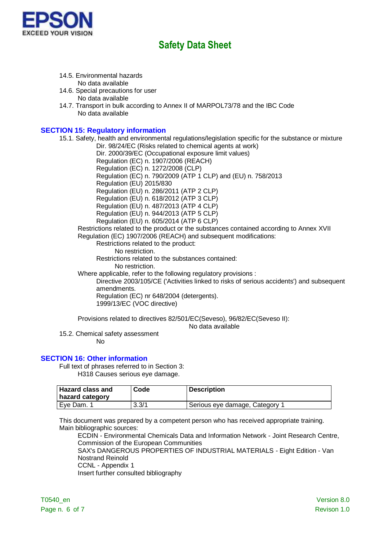

- 14.5. Environmental hazards No data available
- 14.6. Special precautions for user No data available
- 14.7. Transport in bulk according to Annex II of MARPOL73/78 and the IBC Code No data available

# **SECTION 15: Regulatory information**

15.1. Safety, health and environmental regulations/legislation specific for the substance or mixture Dir. 98/24/EC (Risks related to chemical agents at work) Dir. 2000/39/EC (Occupational exposure limit values) Regulation (EC) n. 1907/2006 (REACH) Regulation (EC) n. 1272/2008 (CLP) Regulation (EC) n. 790/2009 (ATP 1 CLP) and (EU) n. 758/2013 Regulation (EU) 2015/830 Regulation (EU) n. 286/2011 (ATP 2 CLP) Regulation (EU) n. 618/2012 (ATP 3 CLP) Regulation (EU) n. 487/2013 (ATP 4 CLP) Regulation (EU) n. 944/2013 (ATP 5 CLP) Regulation (EU) n. 605/2014 (ATP 6 CLP) Restrictions related to the product or the substances contained according to Annex XVII Regulation (EC) 1907/2006 (REACH) and subsequent modifications: Restrictions related to the product: No restriction. Restrictions related to the substances contained: No restriction. Where applicable, refer to the following regulatory provisions : Directive 2003/105/CE ('Activities linked to risks of serious accidents') and subsequent amendments. Regulation (EC) nr 648/2004 (detergents). 1999/13/EC (VOC directive)

Provisions related to directives 82/501/EC(Seveso), 96/82/EC(Seveso II):

No data available

15.2. Chemical safety assessment

No

### **SECTION 16: Other information**

Full text of phrases referred to in Section 3: H318 Causes serious eye damage.

| <b>Hazard class and</b> | Code  | <b>Description</b>             |
|-------------------------|-------|--------------------------------|
| hazard category         |       |                                |
| Eve Dam. 1              | 3.3/1 | Serious eye damage, Category 1 |

This document was prepared by a competent person who has received appropriate training. Main bibliographic sources:

ECDIN - Environmental Chemicals Data and Information Network - Joint Research Centre, Commission of the European Communities SAX's DANGEROUS PROPERTIES OF INDUSTRIAL MATERIALS - Eight Edition - Van

Nostrand Reinold CCNL - Appendix 1

Insert further consulted bibliography

T0540\_en Version 8.0 Page n. 6 of 7 Revison 1.0